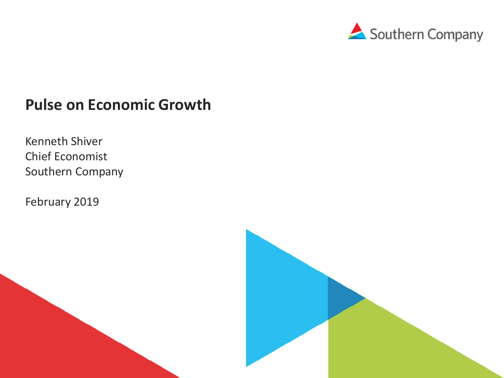

### **Pulse on Economic Growth**

Kenneth Shiver Chief Economist Southern Company

February 2019

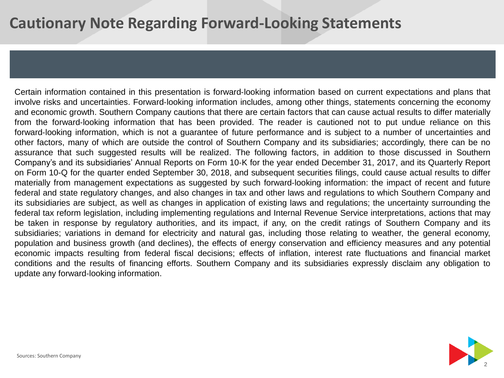# **Cautionary Note Regarding Forward-Looking Statements**

Certain information contained in this presentation is forward‐looking information based on current expectations and plans that involve risks and uncertainties. Forward‐looking information includes, among other things, statements concerning the economy and economic growth. Southern Company cautions that there are certain factors that can cause actual results to differ materially from the forward-looking information that has been provided. The reader is cautioned not to put undue reliance on this forward-looking information, which is not a guarantee of future performance and is subject to a number of uncertainties and other factors, many of which are outside the control of Southern Company and its subsidiaries; accordingly, there can be no assurance that such suggested results will be realized. The following factors, in addition to those discussed in Southern Company's and its subsidiaries' Annual Reports on Form 10‐K for the year ended December 31, 2017, and its Quarterly Report on Form 10-Q for the quarter ended September 30, 2018, and subsequent securities filings, could cause actual results to differ materially from management expectations as suggested by such forward‐looking information: the impact of recent and future federal and state regulatory changes, and also changes in tax and other laws and regulations to which Southern Company and its subsidiaries are subject, as well as changes in application of existing laws and regulations; the uncertainty surrounding the federal tax reform legislation, including implementing regulations and Internal Revenue Service interpretations, actions that may be taken in response by regulatory authorities, and its impact, if any, on the credit ratings of Southern Company and its subsidiaries; variations in demand for electricity and natural gas, including those relating to weather, the general economy, population and business growth (and declines), the effects of energy conservation and efficiency measures and any potential economic impacts resulting from federal fiscal decisions; effects of inflation, interest rate fluctuations and financial market conditions and the results of financing efforts. Southern Company and its subsidiaries expressly disclaim any obligation to update any forward‐looking information.

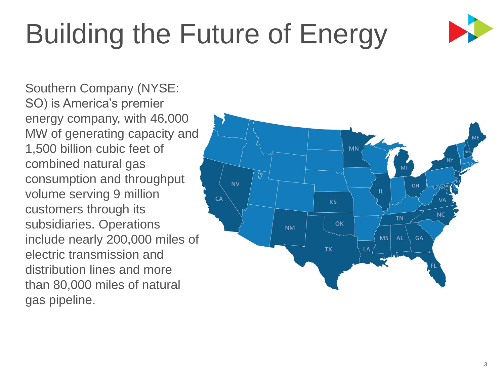# Building the Future of Energy



Southern Company (NYSE: SO) is America's premier energy company, with 46,000 MW of generating capacity and 1,500 billion cubic feet of combined natural gas consumption and throughput volume serving 9 million customers through its subsidiaries. Operations include nearly 200,000 miles of electric transmission and distribution lines and more than 80,000 miles of natural gas pipeline.

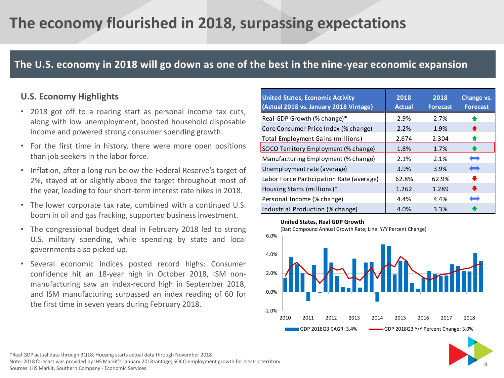# **The economy flourished in 2018, surpassing expectations**

### **The U.S. economy in 2018 will go down as one of the best in the nine-year economic expansion**

### **U.S. Economy Highlights**

- 2018 got off to a roaring start as personal income tax cuts, along with low unemployment, boosted household disposable income and powered strong consumer spending growth.
- For the first time in history, there were more open positions than job seekers in the labor force.
- Inflation, after a long run below the Federal Reserve's target of 2%, stayed at or slightly above the target throughout most of the year, leading to four short-term interest rate hikes in 2018.
- The lower corporate tax rate, combined with a continued U.S. boom in oil and gas fracking, supported business investment.
- The congressional budget deal in February 2018 led to strong U.S. military spending, while spending by state and local governments also picked up.
- Several economic indices posted record highs: Consumer confidence hit an 18-year high in October 2018, ISM nonmanufacturing saw an index-record high in September 2018, and ISM manufacturing surpassed an index reading of 60 for the first time in seven years during February 2018.

| <b>United States, Economic Activity</b><br>(Actual 2018 vs. January 2018 Vintage) | 2018<br><b>Actual</b> | 2018<br><b>Forecast</b> | Change vs.<br><b>Forecast</b> |
|-----------------------------------------------------------------------------------|-----------------------|-------------------------|-------------------------------|
| Real GDP Growth (% change)*                                                       | 2.9%                  | 2.7%                    | ♠                             |
| Core Consumer Price Index (% change)                                              | 2.2%                  | 1.9%                    | ♠                             |
| Total Employment Gains (millions)                                                 | 2.674                 | 2.304                   | $\bullet$                     |
| SOCO Territory Employment (% change)                                              | 1.8%                  | 1.7%                    | $\bullet$                     |
| Manufacturing Employment (% change)                                               | 2.1%                  | 2.1%                    | $\longleftarrow$              |
| Unemployment rate (average)                                                       | 3.9%                  | 3.9%                    | $\qquad \qquad$               |
| Labor Force Participation Rate (average)                                          | 62.8%                 | 62.9%                   | $\ddot{\phantom{1}}$          |
| Housing Starts (millions)*                                                        | 1.262                 | 1.289                   | $\ddot{\phantom{0}}$          |
| Personal Income (% change)                                                        | 4.4%                  | 4.4%                    | نست                           |
| Industrial Production (% change)                                                  | 4.0%                  | 3.3%                    |                               |

#### **United States, Real GDP Growth**



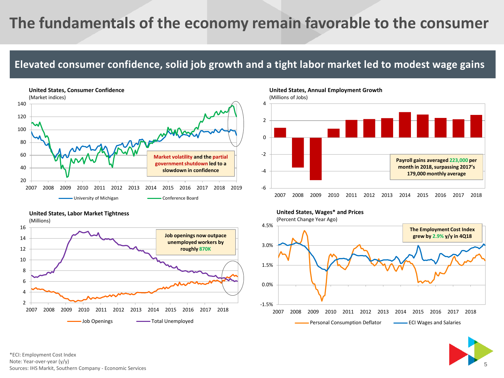# **The fundamentals of the economy remain favorable to the consumer**

### **Elevated consumer confidence, solid job growth and a tight labor market led to modest wage gains**



#### **United States, Labor Market Tightness**



**United States, Annual Employment Growth** 









\*ECI: Employment Cost Index Note: Year-over-year (y/y) Sources: IHS Markit, Southern Company - Economic Services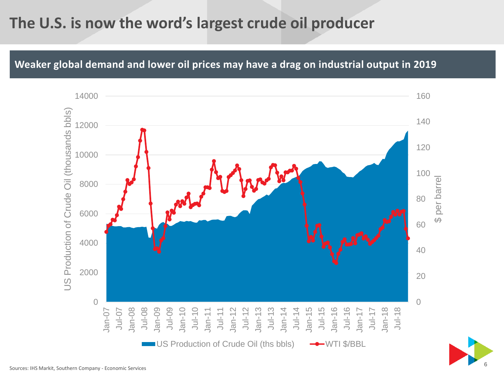# **The U.S. is now the word's largest crude oil producer**

**Weaker global demand and lower oil prices may have a drag on industrial output in 2019**



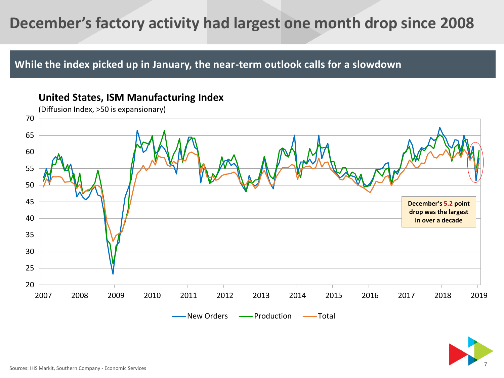# **December's factory activity had largest one month drop since 2008**

**While the index picked up in January, the near-term outlook calls for a slowdown** 



7

### **United States, ISM Manufacturing Index**

Sources: IHS Markit, Southern Company - Economic Services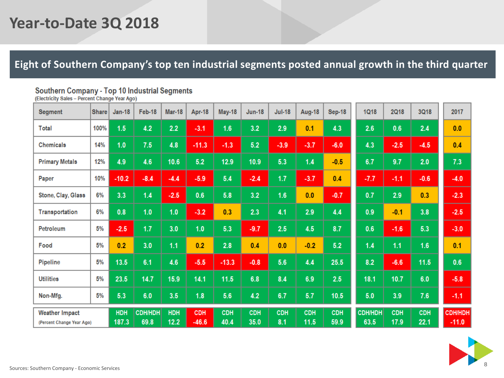# **Year-to-Date 3Q 2018**

### **Eight of Southern Company's top ten industrial segments posted annual growth in the third quarter**

# Southern Company - Top 10 Industrial Segments<br>(Electricity Sales - Percent Change Year Ago)

| <b>Segment</b>                                     | <b>Share</b> | <b>Jan-18</b> | Feb-18                 | <b>Mar-18</b>      | Apr-18                | May-18             | <b>Jun-18</b>      | <b>Jul-18</b>     | Aug-18             | <b>Sep-18</b>      | <b>1Q18</b>     | <b>2Q18</b>        | 3Q18               | 2017                      |
|----------------------------------------------------|--------------|---------------|------------------------|--------------------|-----------------------|--------------------|--------------------|-------------------|--------------------|--------------------|-----------------|--------------------|--------------------|---------------------------|
| Total                                              | 100%         | 1.5           | 4.2                    | 2.2                | $-3.1$                | 1.6                | 3.2                | 2.9               | 0.1                | 4.3                | 2.6             | 0.6                | 2.4                | 0.0                       |
| <b>Chemicals</b>                                   | 14%          | 1.0           | 7.5                    | 4.8                | $-11.3$               | $-1.3$             | 5.2                | $-3.9$            | $-3.7$             | $-6.0$             | 4.3             | $-2.5$             | $-4.5$             | 0.4                       |
| <b>Primary Metals</b>                              | 12%          | 4.9           | 4.6                    | 10.6               | 5.2                   | 12.9               | 10.9               | 5.3               | 1.4                | $-0.5$             | 6.7             | 9.7                | 2.0                | 7.3                       |
| Paper                                              | 10%          | $-10.2$       | $-8.4$                 | $-4.4$             | $-5.9$                | 5.4                | $-2.4$             | 1.7               | $-3.7$             | 0.4                | $-7.7$          | $-1.1$             | $-0.6$             | $-4.0$                    |
| Stone, Clay, Glass                                 | 6%           | 3.3           | 1.4                    | $-2.5$             | 0.6                   | 5.8                | 3.2                | 1.6               | 0.0                | $-0.7$             | 0.7             | 2.9                | 0.3                | $-2.3$                    |
| Transportation                                     | 6%           | 0.8           | 1.0                    | 1.0                | $-3.2$                | 0.3                | 2.3                | 4.1               | 2.9                | 4.4                | 0.9             | $-0.1$             | 3.8                | $-2.5$                    |
| Petroleum                                          | 5%           | $-2.5$        | 1.7                    | 3.0                | 1.0                   | 5.3                | $-9.7$             | 2.5               | 4.5                | 8.7                | 0.6             | $-1.6$             | 5.3                | $-3.0$                    |
| Food                                               | 5%           | 0.2           | 3.0                    | 1.1                | 0.2                   | 2.8                | 0.4                | 0.0               | $-0.2$             | 5.2                | 1.4             | 1.1                | 1.6                | 0.1                       |
| Pipeline                                           | 5%           | 13.5          | 6.1                    | 4.6                | $-5.5$                | $-13.3$            | $-0.8$             | 5.6               | 4.4                | 25.5               | 8.2             | $-6.6$             | 11.5               | 0.6                       |
| <b>Utilities</b>                                   | 5%           | 23.5          | 14.7                   | 15.9               | 14.1                  | $11.5$             | 6.8                | 8.4               | 6.9                | 2.5                | 18.1            | 10.7               | 6.0                | $-5.8$                    |
| Non-Mfg.                                           | 5%           | 5.3           | 6.0                    | 3.5                | 1.8                   | 5.6                | 4.2                | 6.7               | 5.7                | 10.5               | 5.0             | 3.9                | 7.6                | $-1.1$                    |
| <b>Weather Impact</b><br>(Percent Change Year Ago) |              | HDH<br>187.3  | <b>CDH/HDH</b><br>69.8 | <b>HDH</b><br>12.2 | <b>CDH</b><br>$-46.6$ | <b>CDH</b><br>40.4 | <b>CDH</b><br>35.0 | <b>CDH</b><br>8.1 | <b>CDH</b><br>11.5 | <b>CDH</b><br>59.9 | CDH/HDH<br>63.5 | <b>CDH</b><br>17.9 | <b>CDH</b><br>22.1 | <b>CDH/HDH</b><br>$-11.0$ |

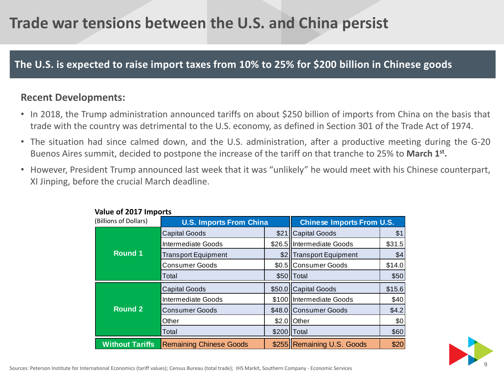# **Trade war tensions between the U.S. and China persist**

### **The U.S. is expected to raise import taxes from 10% to 25% for \$200 billion in Chinese goods**

### **Recent Developments:**

- In 2018, the Trump administration announced tariffs on about \$250 billion of imports from China on the basis that trade with the country was detrimental to the U.S. economy, as defined in Section 301 of the Trade Act of 1974.
- The situation had since calmed down, and the U.S. administration, after a productive meeting during the G-20 Buenos Aires summit, decided to postpone the increase of the tariff on that tranche to 25% to March 1<sup>st</sup>.
- However, President Trump announced last week that it was "unlikely" he would meet with his Chinese counterpart, XI Jinping, before the crucial March deadline.

| Value of 2017 Imports  |                                |                      |                                  |        |  |  |  |
|------------------------|--------------------------------|----------------------|----------------------------------|--------|--|--|--|
| (Billions of Dollars)  | <b>U.S. Imports From China</b> |                      | <b>Chinese Imports From U.S.</b> |        |  |  |  |
| <b>Round 1</b>         | <b>Capital Goods</b>           | \$21                 | <b>Capital Goods</b>             | \$1    |  |  |  |
|                        | Intermediate Goods             | \$26.5               | Intermediate Goods               | \$31.5 |  |  |  |
|                        | <b>Transport Equipment</b>     | \$21                 | <b>Transport Equipment</b>       | \$4    |  |  |  |
|                        | <b>Consumer Goods</b>          | \$0.5 Consumer Goods |                                  | \$14.0 |  |  |  |
|                        | Total                          |                      | \$50 Total                       | \$50   |  |  |  |
| <b>Round 2</b>         | <b>Capital Goods</b>           | \$50.0               | <b>Capital Goods</b>             | \$15.6 |  |  |  |
|                        | Intermediate Goods             |                      | \$100 Intermediate Goods         | \$40   |  |  |  |
|                        | <b>Consumer Goods</b>          |                      | \$48.0 Consumer Goods            | \$4.2  |  |  |  |
|                        | Other                          | \$2.0                | <b>Other</b>                     | \$0    |  |  |  |
|                        | Total                          | \$200 Total          |                                  | \$60   |  |  |  |
| <b>Without Tariffs</b> | <b>Remaining Chinese Goods</b> |                      | \$255 Remaining U.S. Goods       | \$20   |  |  |  |

#### **Value of 2017 Imports**

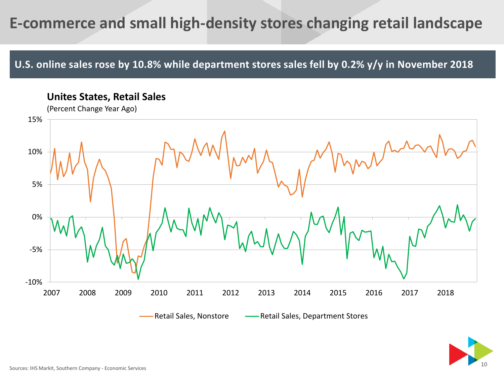# **E-commerce and small high-density stores changing retail landscape**

**U.S. online sales rose by 10.8% while department stores sales fell by 0.2% y/y in November 2018**

**Unites States, Retail Sales**



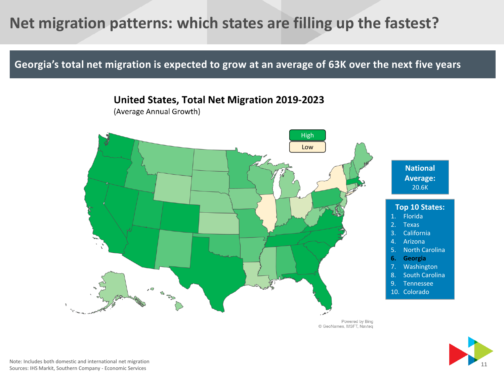# **Net migration patterns: which states are filling up the fastest?**

**Georgia's total net migration is expected to grow at an average of 63K over the next five years**



(Average Annual Growth)



Powered by Bing © GeoNames, MSFT, Navteq



Note: Includes both domestic and international net migration Sources: IHS Markit, Southern Company - Economic Services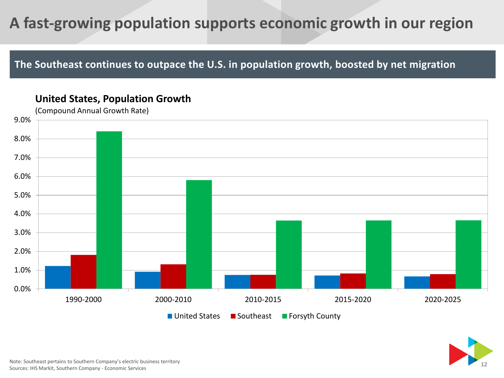# **A fast-growing population supports economic growth in our region**

**The Southeast continues to outpace the U.S. in population growth, boosted by net migration**

### **United States, Population Growth**





Note: Southeast pertains to Southern Company's electric business territory Sources: IHS Markit, Southern Company - Economic Services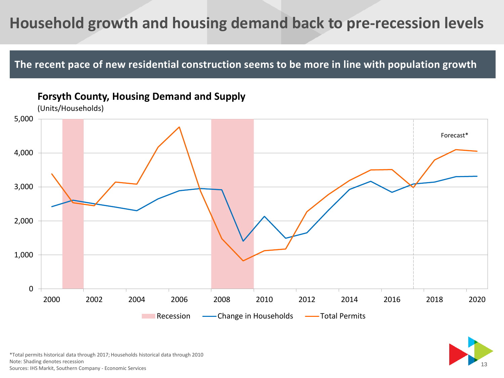# **Household growth and housing demand back to pre-recession levels**

**The recent pace of new residential construction seems to be more in line with population growth**



### **Forsyth County, Housing Demand and Supply**

\*Total permits historical data through 2017; Households historical data through 2010 Note: Shading denotes recession Sources: IHS Markit, Southern Company - Economic Services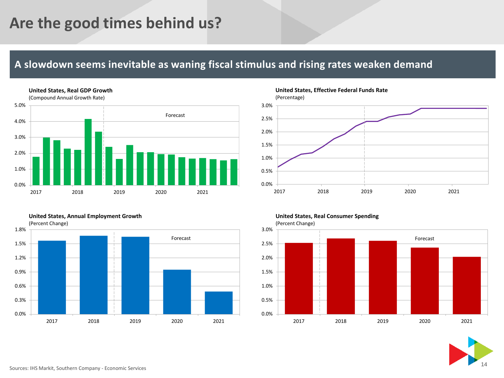# **Are the good times behind us?**

### **A slowdown seems inevitable as waning fiscal stimulus and rising rates weaken demand**



#### **United States, Annual Employment Growth**



**United States, Effective Federal Funds Rate** (Percentage)



#### **United States, Real Consumer Spending**

(Percent Change)



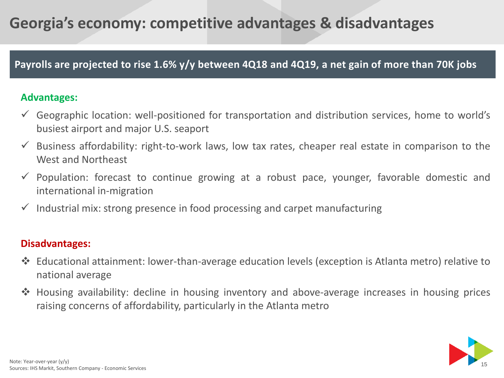# **Georgia's economy: competitive advantages & disadvantages**

### **Payrolls are projected to rise 1.6% y/y between 4Q18 and 4Q19, a net gain of more than 70K jobs**

### **Advantages:**

- $\checkmark$  Geographic location: well-positioned for transportation and distribution services, home to world's busiest airport and major U.S. seaport
- $\checkmark$  Business affordability: right-to-work laws, low tax rates, cheaper real estate in comparison to the West and Northeast
- $\checkmark$  Population: forecast to continue growing at a robust pace, younger, favorable domestic and international in-migration
- $\checkmark$  Industrial mix: strong presence in food processing and carpet manufacturing

### **Disadvantages:**

- ❖ Educational attainment: lower-than-average education levels (exception is Atlanta metro) relative to national average
- ❖ Housing availability: decline in housing inventory and above-average increases in housing prices raising concerns of affordability, particularly in the Atlanta metro

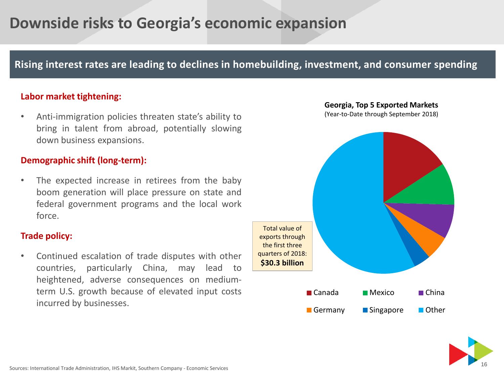# **Downside risks to Georgia's economic expansion**

### **Rising interest rates are leading to declines in homebuilding, investment, and consumer spending**

#### **Labor market tightening:**

• Anti-immigration policies threaten state's ability to bring in talent from abroad, potentially slowing down business expansions.

#### **Demographic shift (long-term):**

The expected increase in retirees from the baby boom generation will place pressure on state and federal government programs and the local work force.

#### **Trade policy:**

• Continued escalation of trade disputes with other countries, particularly China, may lead to heightened, adverse consequences on mediumterm U.S. growth because of elevated input costs incurred by businesses.



(Year-to-Date through September 2018)



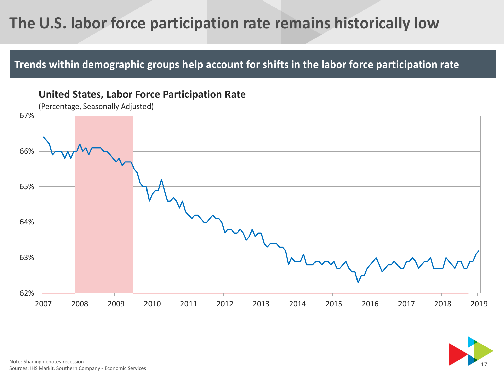# **The U.S. labor force participation rate remains historically low**

### **Trends within demographic groups help account for shifts in the labor force participation rate**



**United States, Labor Force Participation Rate** 

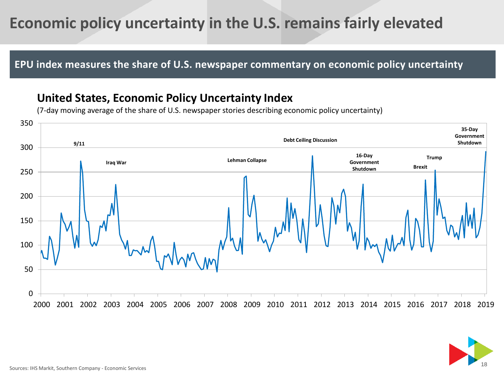# **Economic policy uncertainty in the U.S. remains fairly elevated**

**EPU index measures the share of U.S. newspaper commentary on economic policy uncertainty**

### **United States, Economic Policy Uncertainty Index**

(7-day moving average of the share of U.S. newspaper stories describing economic policy uncertainty)



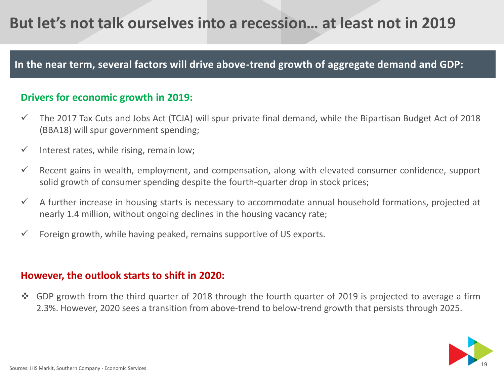# **But let's not talk ourselves into a recession… at least not in 2019**

### **In the near term, several factors will drive above-trend growth of aggregate demand and GDP:**

### **Drivers for economic growth in 2019:**

- $\checkmark$  The 2017 Tax Cuts and Jobs Act (TCJA) will spur private final demand, while the Bipartisan Budget Act of 2018 (BBA18) will spur government spending;
- $\checkmark$  Interest rates, while rising, remain low;
- $\checkmark$  Recent gains in wealth, employment, and compensation, along with elevated consumer confidence, support solid growth of consumer spending despite the fourth-quarter drop in stock prices;
- $\checkmark$  A further increase in housing starts is necessary to accommodate annual household formations, projected at nearly 1.4 million, without ongoing declines in the housing vacancy rate;
- $\checkmark$  Foreign growth, while having peaked, remains supportive of US exports.

### **However, the outlook starts to shift in 2020:**

❖ GDP growth from the third quarter of 2018 through the fourth quarter of 2019 is projected to average a firm 2.3%. However, 2020 sees a transition from above-trend to below-trend growth that persists through 2025.

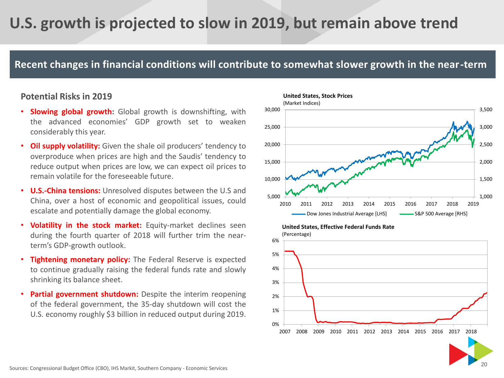# **U.S. growth is projected to slow in 2019, but remain above trend**

### **Recent changes in financial conditions will contribute to somewhat slower growth in the near-term**

#### **Potential Risks in 2019**

- **Slowing global growth:** Global growth is downshifting, with the advanced economies' GDP growth set to weaken considerably this year.
- **Oil supply volatility:** Given the shale oil producers' tendency to overproduce when prices are high and the Saudis' tendency to reduce output when prices are low, we can expect oil prices to remain volatile for the foreseeable future.
- **U.S.-China tensions:** Unresolved disputes between the U.S and China, over a host of economic and geopolitical issues, could escalate and potentially damage the global economy.
- **Volatility in the stock market:** Equity-market declines seen during the fourth quarter of 2018 will further trim the nearterm's GDP-growth outlook.
- **Tightening monetary policy:** The Federal Reserve is expected to continue gradually raising the federal funds rate and slowly shrinking its balance sheet.
- **Partial government shutdown:** Despite the interim reopening of the federal government, the 35-day shutdown will cost the U.S. economy roughly \$3 billion in reduced output during 2019.





#### Sources: Congressional Budget Office (CBO), IHS Markit, Southern Company - Economic Services